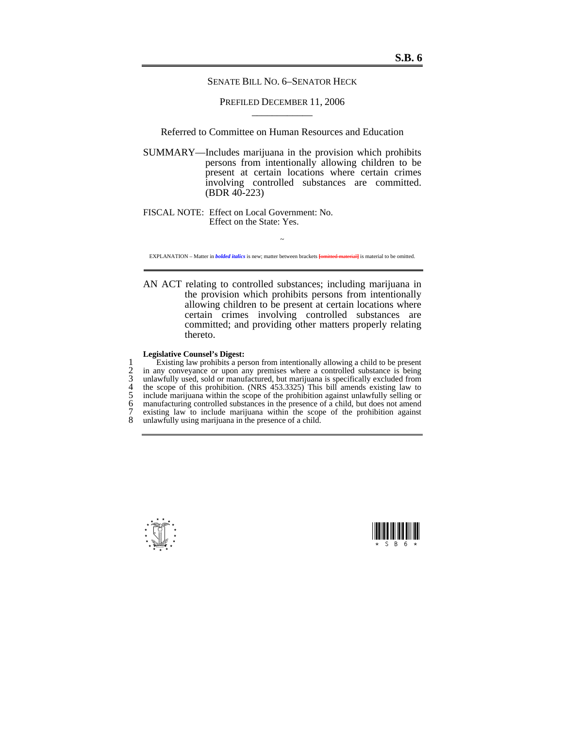SENATE BILL NO. 6–SENATOR HECK

PREFILED DECEMBER 11, 2006

Referred to Committee on Human Resources and Education

SUMMARY—Includes marijuana in the provision which prohibits persons from intentionally allowing children to be present at certain locations where certain crimes involving controlled substances are committed. (BDR 40-223)

FISCAL NOTE: Effect on Local Government: No. Effect on the State: Yes.

 $\sim$ EXPLANATION – Matter in *bolded italics* is new; matter between brackets **[**omitted material**]** is material to be omitted.

AN ACT relating to controlled substances; including marijuana in the provision which prohibits persons from intentionally allowing children to be present at certain locations where certain crimes involving controlled substances are committed; and providing other matters properly relating thereto.

## **Legislative Counsel's Digest:**

1 Existing law prohibits a person from intentionally allowing a child to be present<br>2 in any conveyance or upon any premises where a controlled substance is being<br>3 unlawfully used, sold or manufactured, but marijuana is s in any conveyance or upon any premises where a controlled substance is being 3 unlawfully used, sold or manufactured, but marijuana is specifically excluded from<br>4 the scope of this prohibition. (NRS 453.3325) This bill amends existing law to<br>5 include marijuana within the scope of the prohibition 4 the scope of this prohibition. (NRS 453.3325) This bill amends existing law to 5 include marijuana within the scope of the prohibition against unlawfully selling or 6 manufacturing controlled substances in the presence of a child, but does not amend  $\overline{7}$  existing law to include marijuana within the scope of the prohibition against 7 existing law to include marijuana within the scope of the prohibition against  $\frac{8}{10}$  unlawfully using marijuana in the presence of a child. unlawfully using marijuana in the presence of a child.



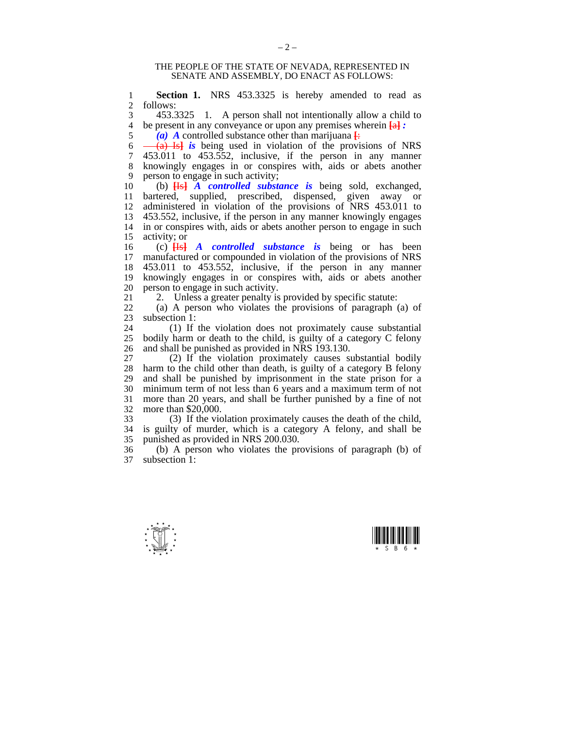## THE PEOPLE OF THE STATE OF NEVADA, REPRESENTED IN SENATE AND ASSEMBLY, DO ENACT AS FOLLOWS:

1 **Section 1.** NRS 453.3325 is hereby amended to read as 2 follows: follows:

3 453.3325 1. A person shall not intentionally allow a child to 4 be present in any conveyance or upon any premises wherein  $\overline{44}$ : 4 be present in any conveyance or upon any premises wherein  $\frac{a}{a}$  *:*  $\frac{a}{b}$  *A* controlled substance other than marijuana  $\frac{a}{b}$ 

 $\overline{a}$  **A** controlled substance other than marijuana  $\overline{b}$ :

 $\frac{6}{7}$   $\frac{6}{453}$   $\frac{1}{15}$  *is* being used in violation of the provisions of NRS<br>  $\frac{7}{7}$  453.011 to 453.552 inclusive if the person in any manner  $453.011$  to  $453.552$ , inclusive, if the person in any manner 8 knowingly engages in or conspires with, aids or abets another 9 person to engage in such activity;<br>10 (b)  $\frac{H-1}{H-1}$  A controlled substant

10 (b) **[**Is**]** *A controlled substance is* being sold, exchanged, 11 bartered, supplied, prescribed, dispensed, given away or 12 administered in violation of the provisions of NRS 453.011 to 13 453.552 inclusive if the person in any manner knowingly engages 13 453.552, inclusive, if the person in any manner knowingly engages 14 in or conspires with, aids or abets another person to engage in such 15 activity: or 15 activity; or  $16$  (c)  $\overline{Hs}$ 

16 (c) **[**Is**]** *A controlled substance is* being or has been 17 manufactured or compounded in violation of the provisions of NRS 18 453.011 to 453.552, inclusive, if the person in any manner<br>19 knowingly engages in or conspires with, aids or abets another knowingly engages in or conspires with, aids or abets another 20 person to engage in such activity.

21 2. Unless a greater penalty is provided by specific statute:<br>22 (a) A person who violates the provisions of paragraph

 $(a)$  A person who violates the provisions of paragraph  $(a)$  of 23 subsection 1:

24 (1) If the violation does not proximately cause substantial 25 bodily harm or death to the child is quilty of a category C felony bodily harm or death to the child, is guilty of a category  $C$  felony 26 and shall be punished as provided in NRS 193.130.

27 (2) If the violation proximately causes substantial bodily 28 harm to the child other than death, is guilty of a category B felony 28 harm to the child other than death, is guilty of a category B felony<br>29 and shall be punished by imprisonment in the state prison for a and shall be punished by imprisonment in the state prison for a 30 minimum term of not less than 6 years and a maximum term of not more than 20 years, and shall be further punished by a fine of not 32 more than \$20,000.

33 (3) If the violation proximately causes the death of the child, 34 is guilty of murder, which is a category A felony, and shall be 35 punished as provided in NRS 200.030.

36 (b) A person who violates the provisions of paragraph (b) of subsection  $1$ :



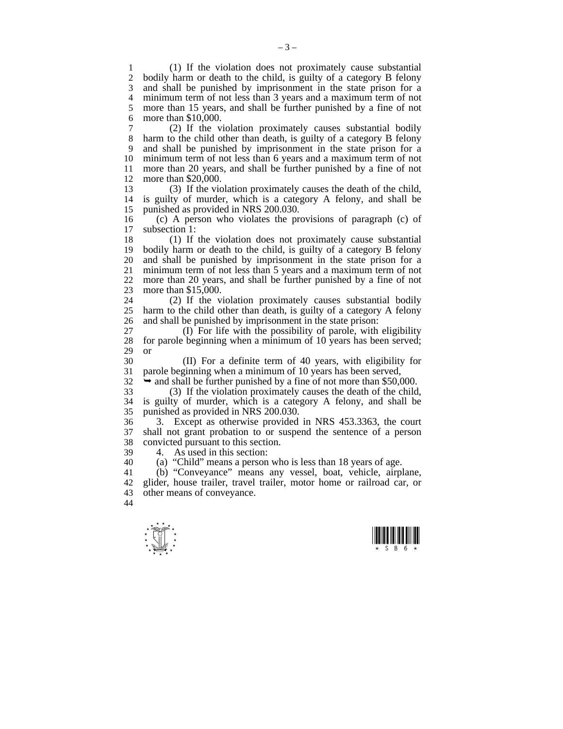1 (1) If the violation does not proximately cause substantial<br>2 bodily harm or death to the child, is guilty of a category B felony bodily harm or death to the child, is guilty of a category B felony 3 and shall be punished by imprisonment in the state prison for a<br>4 minimum term of not less than 3 years and a maximum term of not minimum term of not less than 3 years and a maximum term of not 5 more than 15 years, and shall be further punished by a fine of not 6 more than \$10,000.

7 (2) If the violation proximately causes substantial bodily 8 harm to the child other than death, is guilty of a category B felony 9 and shall be punished by imprisonment in the state prison for a minimum term of not less than 6 years and a maximum term of not 11 more than 20 years, and shall be further punished by a fine of not 12 more than \$20,000.<br>13 (3) If the vice

13 (3) If the violation proximately causes the death of the child, is guilty of murder, which is a category A felony, and shall be 15 punished as provided in NRS 200.030.

16 (c) A person who violates the provisions of paragraph (c) of subsection 1:

18 (1) If the violation does not proximately cause substantial<br>19 bodily harm or death to the child, is guilty of a category B felony bodily harm or death to the child, is guilty of a category B felony 20 and shall be punished by imprisonment in the state prison for a 21 minimum term of not less than 5 years and a maximum term of not 22 more than 20 years, and shall be further punished by a fine of not more than 20 years, and shall be further punished by a fine of not 23 more than \$15,000.

24 (2) If the violation proximately causes substantial bodily<br>25 harm to the child other than death is quilty of a category A felony harm to the child other than death, is guilty of a category A felony 26 and shall be punished by imprisonment in the state prison:

27 (I) For life with the possibility of parole, with eligibility 28 for parole beginning when a minimum of 10 years has been served: for parole beginning when a minimum of 10 years has been served; 29 or

30 (II) For a definite term of 40 years, with eligibility for parole beginning when a minimum of 10 years has been served,

 $32 \rightarrow$  and shall be further punished by a fine of not more than \$50,000.

 $33$  (3) If the violation proximately causes the death of the child,<br> $34$  is guilty of murder which is a category A felony and shall be is guilty of murder, which is a category A felony, and shall be 35 punished as provided in NRS 200.030.

36 3. Except as otherwise provided in NRS 453.3363, the court shall not grant probation to or suspend the sentence of a person 38 convicted pursuant to this section.

39 4. As used in this section:

40 (a) "Child" means a person who is less than 18 years of age.

41 (b) "Conveyance" means any vessel, boat, vehicle, airplane, 42 glider, house trailer, travel trailer, motor home or railroad car, or 43 other means of conveyance.

44